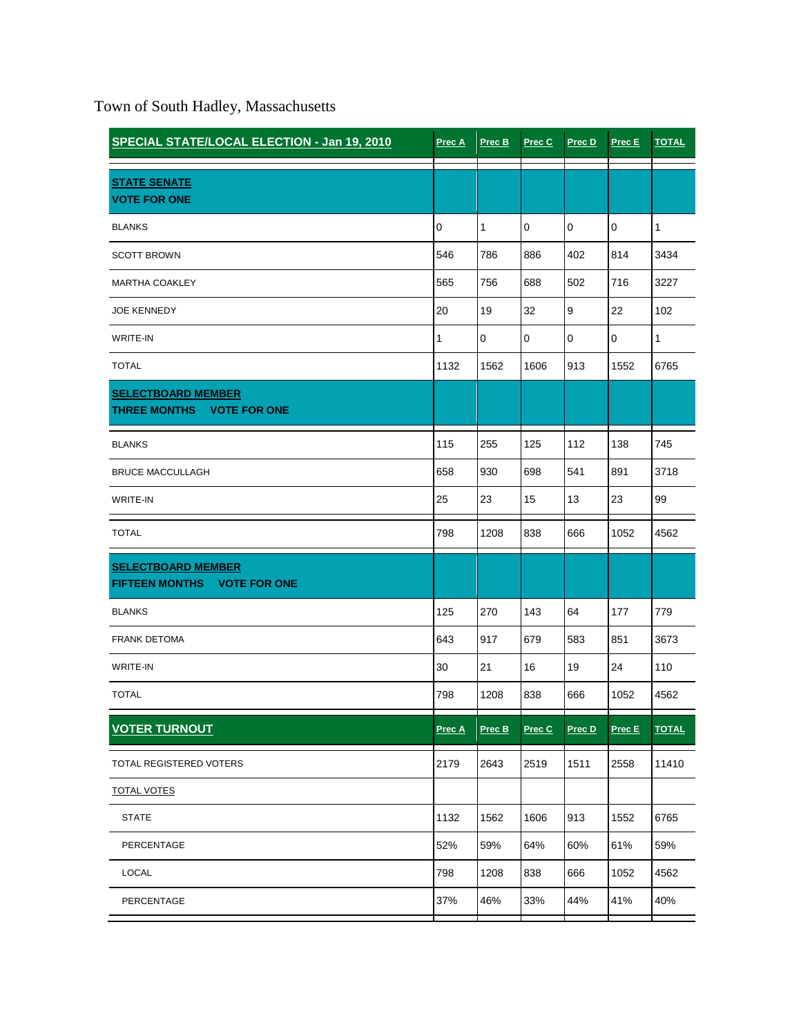Town of South Hadley, Massachusetts

| SPECIAL STATE/LOCAL ELECTION - Jan 19, 2010              | Prec A    | Prec B | Prec C      | Prec D      | Prec E      | <b>TOTAL</b> |
|----------------------------------------------------------|-----------|--------|-------------|-------------|-------------|--------------|
| <b>STATE SENATE</b><br><b>VOTE FOR ONE</b>               |           |        |             |             |             |              |
| <b>BLANKS</b>                                            | $\pmb{0}$ | 1      | 0           | $\mathbf 0$ | 0           | $\mathbf{1}$ |
| <b>SCOTT BROWN</b>                                       | 546       | 786    | 886         | 402         | 814         | 3434         |
| <b>MARTHA COAKLEY</b>                                    | 565       | 756    | 688         | 502         | 716         | 3227         |
| <b>JOE KENNEDY</b>                                       | 20        | 19     | 32          | 9           | 22          | 102          |
| <b>WRITE-IN</b>                                          | 1         | 0      | $\mathbf 0$ | $\mathsf 0$ | $\mathbf 0$ | $\mathbf{1}$ |
| <b>TOTAL</b>                                             | 1132      | 1562   | 1606        | 913         | 1552        | 6765         |
| <b>SELECTBOARD MEMBER</b><br>THREE MONTHS VOTE FOR ONE   |           |        |             |             |             |              |
| <b>BLANKS</b>                                            | 115       | 255    | 125         | 112         | 138         | 745          |
| <b>BRUCE MACCULLAGH</b>                                  | 658       | 930    | 698         | 541         | 891         | 3718         |
| <b>WRITE-IN</b>                                          | 25        | 23     | 15          | 13          | 23          | 99           |
| <b>TOTAL</b>                                             | 798       | 1208   | 838         | 666         | 1052        | 4562         |
| <b>SELECTBOARD MEMBER</b><br>FIFTEEN MONTHS VOTE FOR ONE |           |        |             |             |             |              |
| <b>BLANKS</b>                                            | 125       | 270    | 143         | 64          | 177         | 779          |
| <b>FRANK DETOMA</b>                                      | 643       | 917    | 679         | 583         | 851         | 3673         |
| WRITE-IN                                                 | 30        | 21     | 16          | 19          | 24          | 110          |
| <b>TOTAL</b>                                             | 798       | 1208   | 838         | 666         | 1052        | 4562         |
| <b>VOTER TURNOUT</b>                                     | Prec A    | Prec B | Prec C      | Prec D      | Prec E      | <b>TOTAL</b> |
| TOTAL REGISTERED VOTERS                                  | 2179      | 2643   | 2519        | 1511        | 2558        | 11410        |
| <b>TOTAL VOTES</b>                                       |           |        |             |             |             |              |
| <b>STATE</b>                                             | 1132      | 1562   | 1606        | 913         | 1552        | 6765         |
| PERCENTAGE                                               | 52%       | 59%    | 64%         | 60%         | 61%         | 59%          |
| LOCAL                                                    | 798       | 1208   | 838         | 666         | 1052        | 4562         |
| PERCENTAGE                                               | 37%       | 46%    | 33%         | 44%         | 41%         | 40%          |